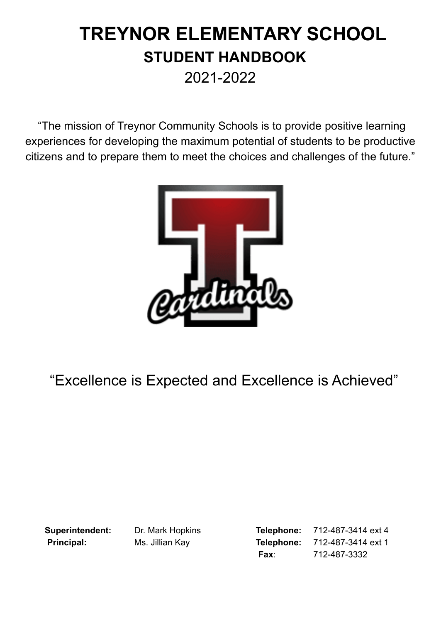# **TREYNOR ELEMENTARY SCHOOL STUDENT HANDBOOK** 2021-2022

"The mission of Treynor Community Schools is to provide positive learning experiences for developing the maximum potential of students to be productive citizens and to prepare them to meet the choices and challenges of the future."



# "Excellence is Expected and Excellence is Achieved"

**Superintendent:** Dr. Mark Hopkins **Telephone:** 712-487-3414 ext 4 **Principal:** Ms. Jillian Kay **Telephone:** 712-487-3414 ext 1 **Fax**: 712-487-3332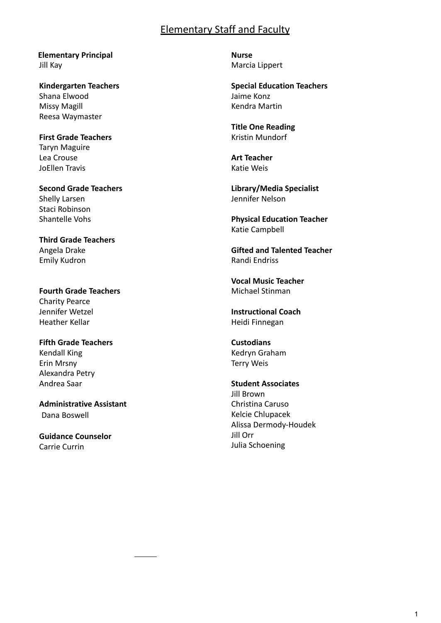# Elementary Staff and Faculty

**Elementary Principal** Jill Kay

**Kindergarten Teachers** Shana Elwood Missy Magill Reesa Waymaster

**First Grade Teachers** Taryn Maguire Lea Crouse JoEllen Travis

**Second Grade Teachers** Shelly Larsen Staci Robinson Shantelle Vohs

**Third Grade Teachers** Angela Drake Emily Kudron

**Fourth Grade Teachers** Charity Pearce Jennifer Wetzel Heather Kellar

**Fifth Grade Teachers** Kendall King Erin Mrsny Alexandra Petry Andrea Saar

**Administrative Assistant** Dana [Boswell](mailto:dboswell@treynorcardinals.org)

**Guidance Counselor** Carrie Currin

**Nurse** Marcia Lippert

**Special Education Teachers** Jaime Konz Kendra Martin

**Title One Reading** Kristin Mundorf

**Art Teacher** Katie Weis

**Library/Media Specialist** Jennifer Nelson

**Physical Education Teacher** Katie Campbell

**Gifted and Talented Teacher** Randi Endriss

**Vocal Music Teacher** Michael Stinman

**Instructional Coach** Heidi Finnegan

**Custodians** Kedryn Graham Terry Weis

**Student Associates** Jill Brown Christina Caruso Kelcie Chlupacek Alissa Dermody-Houdek Jill Orr Julia Schoening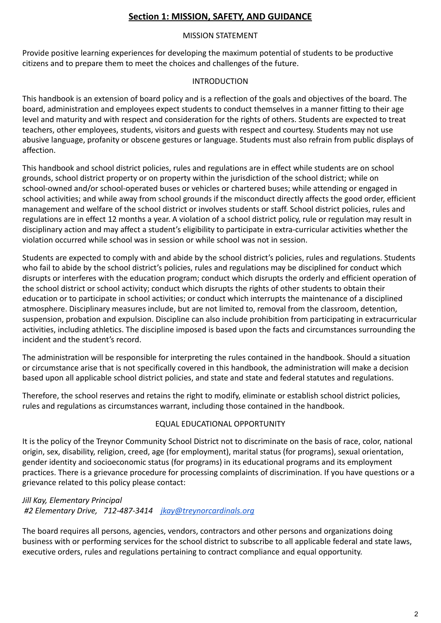# **Section 1: MISSION, SAFETY, AND GUIDANCE**

## MISSION STATEMENT

Provide positive learning experiences for developing the maximum potential of students to be productive citizens and to prepare them to meet the choices and challenges of the future.

## INTRODUCTION

This handbook is an extension of board policy and is a reflection of the goals and objectives of the board. The board, administration and employees expect students to conduct themselves in a manner fitting to their age level and maturity and with respect and consideration for the rights of others. Students are expected to treat teachers, other employees, students, visitors and guests with respect and courtesy. Students may not use abusive language, profanity or obscene gestures or language. Students must also refrain from public displays of affection.

This handbook and school district policies, rules and regulations are in effect while students are on school grounds, school district property or on property within the jurisdiction of the school district; while on school-owned and/or school-operated buses or vehicles or chartered buses; while attending or engaged in school activities; and while away from school grounds if the misconduct directly affects the good order, efficient management and welfare of the school district or involves students or staff. School district policies, rules and regulations are in effect 12 months a year. A violation of a school district policy, rule or regulation may result in disciplinary action and may affect a student's eligibility to participate in extra-curricular activities whether the violation occurred while school was in session or while school was not in session.

Students are expected to comply with and abide by the school district's policies, rules and regulations. Students who fail to abide by the school district's policies, rules and regulations may be disciplined for conduct which disrupts or interferes with the education program; conduct which disrupts the orderly and efficient operation of the school district or school activity; conduct which disrupts the rights of other students to obtain their education or to participate in school activities; or conduct which interrupts the maintenance of a disciplined atmosphere. Disciplinary measures include, but are not limited to, removal from the classroom, detention, suspension, probation and expulsion. Discipline can also include prohibition from participating in extracurricular activities, including athletics. The discipline imposed is based upon the facts and circumstances surrounding the incident and the student's record.

The administration will be responsible for interpreting the rules contained in the handbook. Should a situation or circumstance arise that is not specifically covered in this handbook, the administration will make a decision based upon all applicable school district policies, and state and state and federal statutes and regulations.

Therefore, the school reserves and retains the right to modify, eliminate or establish school district policies, rules and regulations as circumstances warrant, including those contained in the handbook.

## EQUAL EDUCATIONAL OPPORTUNITY

It is the policy of the Treynor Community School District not to discriminate on the basis of race, color, national origin, sex, disability, religion, creed, age (for employment), marital status (for programs), sexual orientation, gender identity and socioeconomic status (for programs) in its educational programs and its employment practices. There is a grievance procedure for processing complaints of discrimination. If you have questions or a grievance related to this policy please contact:

*Jill Kay, Elementary Principal #2 Elementary Drive, 712-487-3414 [jkay@treynorcardinals.org](mailto:jkay@treynorcardinals.org)*

The board requires all persons, agencies, vendors, contractors and other persons and organizations doing business with or performing services for the school district to subscribe to all applicable federal and state laws, executive orders, rules and regulations pertaining to contract compliance and equal opportunity.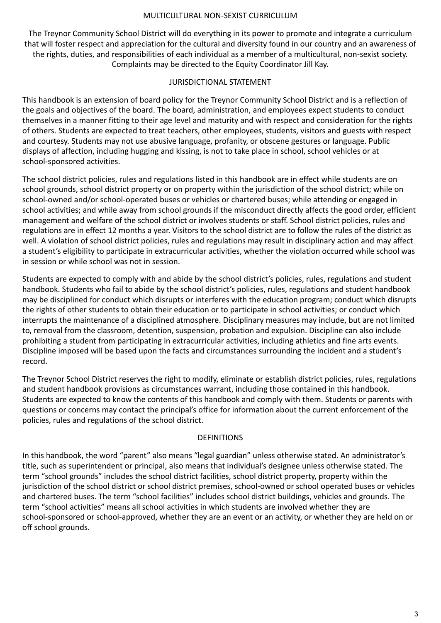#### MULTICULTURAL NON-SEXIST CURRICULUM

The Treynor Community School District will do everything in its power to promote and integrate a curriculum that will foster respect and appreciation for the cultural and diversity found in our country and an awareness of the rights, duties, and responsibilities of each individual as a member of a multicultural, non-sexist society. Complaints may be directed to the Equity Coordinator Jill Kay.

#### JURISDICTIONAL STATEMENT

This handbook is an extension of board policy for the Treynor Community School District and is a reflection of the goals and objectives of the board. The board, administration, and employees expect students to conduct themselves in a manner fitting to their age level and maturity and with respect and consideration for the rights of others. Students are expected to treat teachers, other employees, students, visitors and guests with respect and courtesy. Students may not use abusive language, profanity, or obscene gestures or language. Public displays of affection, including hugging and kissing, is not to take place in school, school vehicles or at school-sponsored activities.

The school district policies, rules and regulations listed in this handbook are in effect while students are on school grounds, school district property or on property within the jurisdiction of the school district; while on school-owned and/or school-operated buses or vehicles or chartered buses; while attending or engaged in school activities; and while away from school grounds if the misconduct directly affects the good order, efficient management and welfare of the school district or involves students or staff. School district policies, rules and regulations are in effect 12 months a year. Visitors to the school district are to follow the rules of the district as well. A violation of school district policies, rules and regulations may result in disciplinary action and may affect a student's eligibility to participate in extracurricular activities, whether the violation occurred while school was in session or while school was not in session.

Students are expected to comply with and abide by the school district's policies, rules, regulations and student handbook. Students who fail to abide by the school district's policies, rules, regulations and student handbook may be disciplined for conduct which disrupts or interferes with the education program; conduct which disrupts the rights of other students to obtain their education or to participate in school activities; or conduct which interrupts the maintenance of a disciplined atmosphere. Disciplinary measures may include, but are not limited to, removal from the classroom, detention, suspension, probation and expulsion. Discipline can also include prohibiting a student from participating in extracurricular activities, including athletics and fine arts events. Discipline imposed will be based upon the facts and circumstances surrounding the incident and a student's record.

The Treynor School District reserves the right to modify, eliminate or establish district policies, rules, regulations and student handbook provisions as circumstances warrant, including those contained in this handbook. Students are expected to know the contents of this handbook and comply with them. Students or parents with questions or concerns may contact the principal's office for information about the current enforcement of the policies, rules and regulations of the school district.

#### DEFINITIONS

In this handbook, the word "parent" also means "legal guardian" unless otherwise stated. An administrator's title, such as superintendent or principal, also means that individual's designee unless otherwise stated. The term "school grounds" includes the school district facilities, school district property, property within the jurisdiction of the school district or school district premises, school-owned or school operated buses or vehicles and chartered buses. The term "school facilities" includes school district buildings, vehicles and grounds. The term "school activities" means all school activities in which students are involved whether they are school-sponsored or school-approved, whether they are an event or an activity, or whether they are held on or off school grounds.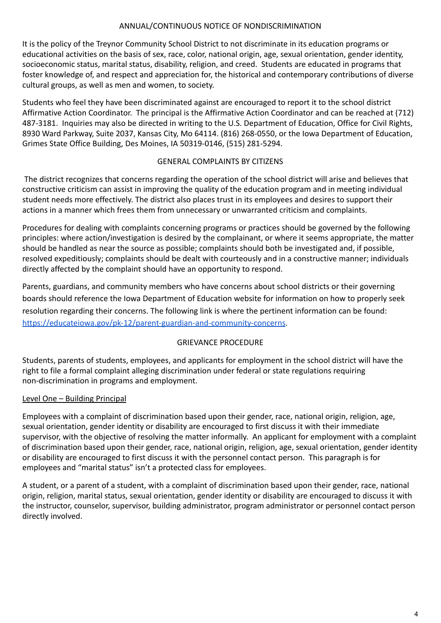## ANNUAL/CONTINUOUS NOTICE OF NONDISCRIMINATION

It is the policy of the Treynor Community School District to not discriminate in its education programs or educational activities on the basis of sex, race, color, national origin, age, sexual orientation, gender identity, socioeconomic status, marital status, disability, religion, and creed. Students are educated in programs that foster knowledge of, and respect and appreciation for, the historical and contemporary contributions of diverse cultural groups, as well as men and women, to society.

Students who feel they have been discriminated against are encouraged to report it to the school district Affirmative Action Coordinator. The principal is the Affirmative Action Coordinator and can be reached at (712) 487-3181. Inquiries may also be directed in writing to the U.S. Department of Education, Office for Civil Rights, 8930 Ward Parkway, Suite 2037, Kansas City, Mo 64114. (816) 268-0550, or the Iowa Department of Education, Grimes State Office Building, Des Moines, IA 50319-0146, (515) 281-5294.

## GENERAL COMPLAINTS BY CITIZENS

The district recognizes that concerns regarding the operation of the school district will arise and believes that constructive criticism can assist in improving the quality of the education program and in meeting individual student needs more effectively. The district also places trust in its employees and desires to support their actions in a manner which frees them from unnecessary or unwarranted criticism and complaints.

Procedures for dealing with complaints concerning programs or practices should be governed by the following principles: where action/investigation is desired by the complainant, or where it seems appropriate, the matter should be handled as near the source as possible; complaints should both be investigated and, if possible, resolved expeditiously; complaints should be dealt with courteously and in a constructive manner; individuals directly affected by the complaint should have an opportunity to respond.

Parents, guardians, and community members who have concerns about school districts or their governing boards should reference the Iowa Department of Education website for information on how to properly seek resolution regarding their concerns. The following link is where the pertinent information can be found[:](https://educateiowa.gov/pk-12/parent-guardian-and-community-concerns) <https://educateiowa.gov/pk-12/parent-guardian-and-community-concerns>.

# GRIEVANCE PROCEDURE

Students, parents of students, employees, and applicants for employment in the school district will have the right to file a formal complaint alleging discrimination under federal or state regulations requiring non-discrimination in programs and employment.

# Level One – Building Principal

Employees with a complaint of discrimination based upon their gender, race, national origin, religion, age, sexual orientation, gender identity or disability are encouraged to first discuss it with their immediate supervisor, with the objective of resolving the matter informally. An applicant for employment with a complaint of discrimination based upon their gender, race, national origin, religion, age, sexual orientation, gender identity or disability are encouraged to first discuss it with the personnel contact person. This paragraph is for employees and "marital status" isn't a protected class for employees.

A student, or a parent of a student, with a complaint of discrimination based upon their gender, race, national origin, religion, marital status, sexual orientation, gender identity or disability are encouraged to discuss it with the instructor, counselor, supervisor, building administrator, program administrator or personnel contact person directly involved.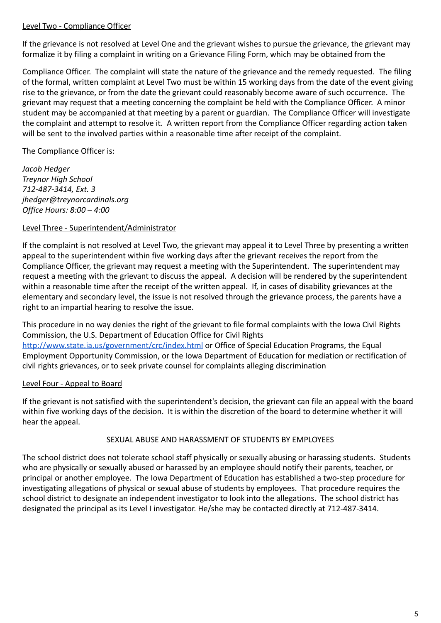## Level Two - Compliance Officer

If the grievance is not resolved at Level One and the grievant wishes to pursue the grievance, the grievant may formalize it by filing a complaint in writing on a Grievance Filing Form, which may be obtained from the

Compliance Officer. The complaint will state the nature of the grievance and the remedy requested. The filing of the formal, written complaint at Level Two must be within 15 working days from the date of the event giving rise to the grievance, or from the date the grievant could reasonably become aware of such occurrence. The grievant may request that a meeting concerning the complaint be held with the Compliance Officer. A minor student may be accompanied at that meeting by a parent or guardian. The Compliance Officer will investigate the complaint and attempt to resolve it. A written report from the Compliance Officer regarding action taken will be sent to the involved parties within a reasonable time after receipt of the complaint.

## The Compliance Officer is:

*Jacob Hedger Treynor High School 712-487-3414, Ext. 3 jhedger@treynorcardinals.org Office Hours: 8:00 – 4:00*

## Level Three - Superintendent/Administrator

If the complaint is not resolved at Level Two, the grievant may appeal it to Level Three by presenting a written appeal to the superintendent within five working days after the grievant receives the report from the Compliance Officer, the grievant may request a meeting with the Superintendent. The superintendent may request a meeting with the grievant to discuss the appeal. A decision will be rendered by the superintendent within a reasonable time after the receipt of the written appeal. If, in cases of disability grievances at the elementary and secondary level, the issue is not resolved through the grievance process, the parents have a right to an impartial hearing to resolve the issue.

This procedure in no way denies the right of the grievant to file formal complaints with the Iowa Civil Rights Commission, the U.S. Department of Education Office for Civil Rights <http://www.state.ia.us/government/crc/index.html> or Office of Special Education Programs, the Equal Employment Opportunity Commission, or the Iowa Department of Education for mediation or rectification of civil rights grievances, or to seek private counsel for complaints alleging discrimination

## Level Four - Appeal to Board

If the grievant is not satisfied with the superintendent's decision, the grievant can file an appeal with the board within five working days of the decision. It is within the discretion of the board to determine whether it will hear the appeal.

#### SEXUAL ABUSE AND HARASSMENT OF STUDENTS BY EMPLOYEES

The school district does not tolerate school staff physically or sexually abusing or harassing students. Students who are physically or sexually abused or harassed by an employee should notify their parents, teacher, or principal or another employee. The Iowa Department of Education has established a two-step procedure for investigating allegations of physical or sexual abuse of students by employees. That procedure requires the school district to designate an independent investigator to look into the allegations. The school district has designated the principal as its Level I investigator. He/she may be contacted directly at 712-487-3414.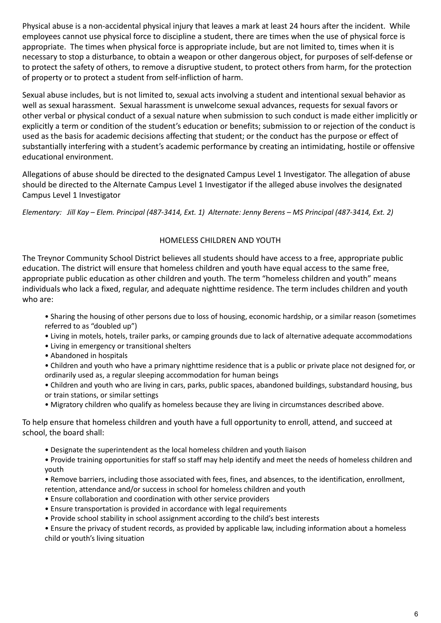Physical abuse is a non-accidental physical injury that leaves a mark at least 24 hours after the incident. While employees cannot use physical force to discipline a student, there are times when the use of physical force is appropriate. The times when physical force is appropriate include, but are not limited to, times when it is necessary to stop a disturbance, to obtain a weapon or other dangerous object, for purposes of self-defense or to protect the safety of others, to remove a disruptive student, to protect others from harm, for the protection of property or to protect a student from self-infliction of harm.

Sexual abuse includes, but is not limited to, sexual acts involving a student and intentional sexual behavior as well as sexual harassment. Sexual harassment is unwelcome sexual advances, requests for sexual favors or other verbal or physical conduct of a sexual nature when submission to such conduct is made either implicitly or explicitly a term or condition of the student's education or benefits; submission to or rejection of the conduct is used as the basis for academic decisions affecting that student; or the conduct has the purpose or effect of substantially interfering with a student's academic performance by creating an intimidating, hostile or offensive educational environment.

Allegations of abuse should be directed to the designated Campus Level 1 Investigator. The allegation of abuse should be directed to the Alternate Campus Level 1 Investigator if the alleged abuse involves the designated Campus Level 1 Investigator

Elementary: Jill Kay - Elem. Principal (487-3414, Ext. 1) Alternate: Jenny Berens - MS Principal (487-3414, Ext. 2)

## HOMELESS CHILDREN AND YOUTH

The Treynor Community School District believes all students should have access to a free, appropriate public education. The district will ensure that homeless children and youth have equal access to the same free, appropriate public education as other children and youth. The term "homeless children and youth" means individuals who lack a fixed, regular, and adequate nighttime residence. The term includes children and youth who are:

- Sharing the housing of other persons due to loss of housing, economic hardship, or a similar reason (sometimes referred to as "doubled up")
- Living in motels, hotels, trailer parks, or camping grounds due to lack of alternative adequate accommodations
- Living in emergency or transitional shelters
- Abandoned in hospitals
- Children and youth who have a primary nighttime residence that is a public or private place not designed for, or ordinarily used as, a regular sleeping accommodation for human beings
- Children and youth who are living in cars, parks, public spaces, abandoned buildings, substandard housing, bus or train stations, or similar settings
- Migratory children who qualify as homeless because they are living in circumstances described above.

To help ensure that homeless children and youth have a full opportunity to enroll, attend, and succeed at school, the board shall:

- Designate the superintendent as the local homeless children and youth liaison
- Provide training opportunities for staff so staff may help identify and meet the needs of homeless children and youth
- Remove barriers, including those associated with fees, fines, and absences, to the identification, enrollment, retention, attendance and/or success in school for homeless children and youth
- Ensure collaboration and coordination with other service providers
- Ensure transportation is provided in accordance with legal requirements
- Provide school stability in school assignment according to the child's best interests

• Ensure the privacy of student records, as provided by applicable law, including information about a homeless child or youth's living situation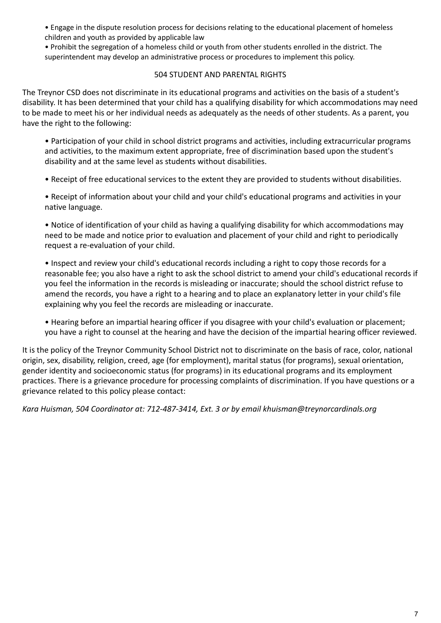• Engage in the dispute resolution process for decisions relating to the educational placement of homeless children and youth as provided by applicable law

• Prohibit the segregation of a homeless child or youth from other students enrolled in the district. The superintendent may develop an administrative process or procedures to implement this policy.

## 504 STUDENT AND PARENTAL RIGHTS

The Treynor CSD does not discriminate in its educational programs and activities on the basis of a student's disability. It has been determined that your child has a qualifying disability for which accommodations may need to be made to meet his or her individual needs as adequately as the needs of other students. As a parent, you have the right to the following:

• Participation of your child in school district programs and activities, including extracurricular programs and activities, to the maximum extent appropriate, free of discrimination based upon the student's disability and at the same level as students without disabilities.

• Receipt of free educational services to the extent they are provided to students without disabilities.

• Receipt of information about your child and your child's educational programs and activities in your native language.

• Notice of identification of your child as having a qualifying disability for which accommodations may need to be made and notice prior to evaluation and placement of your child and right to periodically request a re-evaluation of your child.

• Inspect and review your child's educational records including a right to copy those records for a reasonable fee; you also have a right to ask the school district to amend your child's educational records if you feel the information in the records is misleading or inaccurate; should the school district refuse to amend the records, you have a right to a hearing and to place an explanatory letter in your child's file explaining why you feel the records are misleading or inaccurate.

• Hearing before an impartial hearing officer if you disagree with your child's evaluation or placement; you have a right to counsel at the hearing and have the decision of the impartial hearing officer reviewed.

It is the policy of the Treynor Community School District not to discriminate on the basis of race, color, national origin, sex, disability, religion, creed, age (for employment), marital status (for programs), sexual orientation, gender identity and socioeconomic status (for programs) in its educational programs and its employment practices. There is a grievance procedure for processing complaints of discrimination. If you have questions or a grievance related to this policy please contact:

*Kara Huisman, 504 Coordinator at: 712-487-3414, Ext. 3 or by email khuisman@treynorcardinals.org*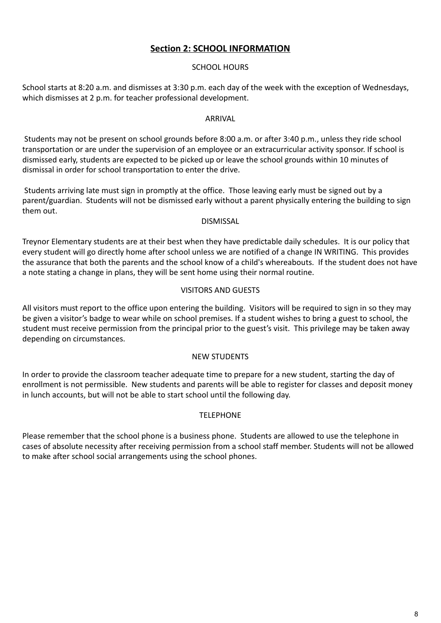# **Section 2: SCHOOL INFORMATION**

## SCHOOL HOURS

School starts at 8:20 a.m. and dismisses at 3:30 p.m. each day of the week with the exception of Wednesdays, which dismisses at 2 p.m. for teacher professional development.

#### ARRIVAL

Students may not be present on school grounds before 8:00 a.m. or after 3:40 p.m., unless they ride school transportation or are under the supervision of an employee or an extracurricular activity sponsor. If school is dismissed early, students are expected to be picked up or leave the school grounds within 10 minutes of dismissal in order for school transportation to enter the drive.

Students arriving late must sign in promptly at the office. Those leaving early must be signed out by a parent/guardian. Students will not be dismissed early without a parent physically entering the building to sign them out.

#### DISMISSAL

Treynor Elementary students are at their best when they have predictable daily schedules. It is our policy that every student will go directly home after school unless we are notified of a change IN WRITING. This provides the assurance that both the parents and the school know of a child's whereabouts. If the student does not have a note stating a change in plans, they will be sent home using their normal routine.

## VISITORS AND GUESTS

All visitors must report to the office upon entering the building. Visitors will be required to sign in so they may be given a visitor's badge to wear while on school premises. If a student wishes to bring a guest to school, the student must receive permission from the principal prior to the guest's visit. This privilege may be taken away depending on circumstances.

#### NEW STUDENTS

In order to provide the classroom teacher adequate time to prepare for a new student, starting the day of enrollment is not permissible. New students and parents will be able to register for classes and deposit money in lunch accounts, but will not be able to start school until the following day.

#### **TELEPHONE**

Please remember that the school phone is a business phone. Students are allowed to use the telephone in cases of absolute necessity after receiving permission from a school staff member. Students will not be allowed to make after school social arrangements using the school phones.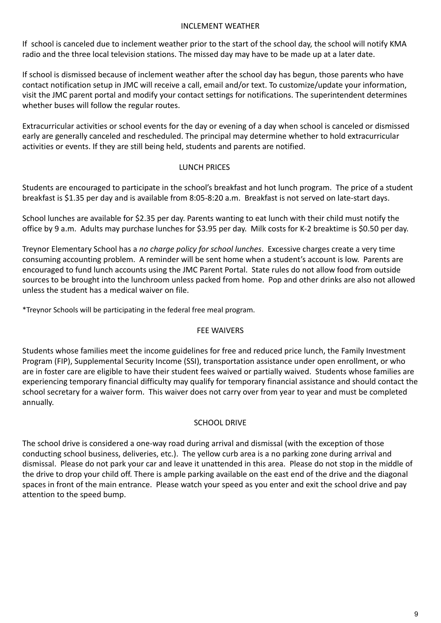## INCLEMENT WEATHER

If school is canceled due to inclement weather prior to the start of the school day, the school will notify KMA radio and the three local television stations. The missed day may have to be made up at a later date.

If school is dismissed because of inclement weather after the school day has begun, those parents who have contact notification setup in JMC will receive a call, email and/or text. To customize/update your information, visit the JMC parent portal and modify your contact settings for notifications. The superintendent determines whether buses will follow the regular routes.

Extracurricular activities or school events for the day or evening of a day when school is canceled or dismissed early are generally canceled and rescheduled. The principal may determine whether to hold extracurricular activities or events. If they are still being held, students and parents are notified.

## LUNCH PRICES

Students are encouraged to participate in the school's breakfast and hot lunch program. The price of a student breakfast is \$1.35 per day and is available from 8:05-8:20 a.m. Breakfast is not served on late-start days.

School lunches are available for \$2.35 per day. Parents wanting to eat lunch with their child must notify the office by 9 a.m. Adults may purchase lunches for \$3.95 per day. Milk costs for K-2 breaktime is \$0.50 per day.

Treynor Elementary School has a *no charge policy for school lunches*. Excessive charges create a very time consuming accounting problem. A reminder will be sent home when a student's account is low. Parents are encouraged to fund lunch accounts using the JMC Parent Portal. State rules do not allow food from outside sources to be brought into the lunchroom unless packed from home. Pop and other drinks are also not allowed unless the student has a medical waiver on file.

\*Treynor Schools will be participating in the federal free meal program.

## FEE WAIVERS

Students whose families meet the income guidelines for free and reduced price lunch, the Family Investment Program (FIP), Supplemental Security Income (SSI), transportation assistance under open enrollment, or who are in foster care are eligible to have their student fees waived or partially waived. Students whose families are experiencing temporary financial difficulty may qualify for temporary financial assistance and should contact the school secretary for a waiver form. This waiver does not carry over from year to year and must be completed annually.

## SCHOOL DRIVE

The school drive is considered a one-way road during arrival and dismissal (with the exception of those conducting school business, deliveries, etc.). The yellow curb area is a no parking zone during arrival and dismissal. Please do not park your car and leave it unattended in this area. Please do not stop in the middle of the drive to drop your child off. There is ample parking available on the east end of the drive and the diagonal spaces in front of the main entrance. Please watch your speed as you enter and exit the school drive and pay attention to the speed bump.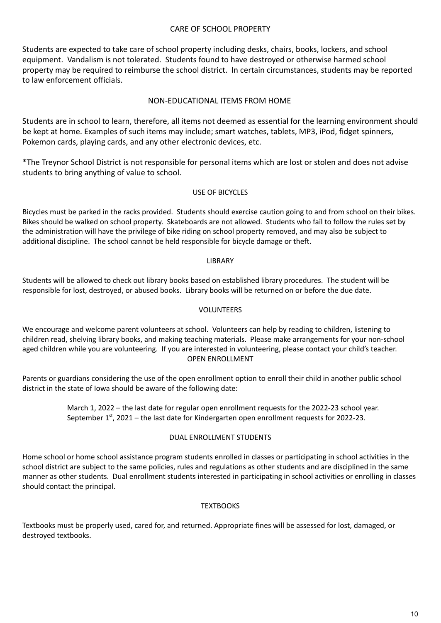#### CARE OF SCHOOL PROPERTY

Students are expected to take care of school property including desks, chairs, books, lockers, and school equipment. Vandalism is not tolerated. Students found to have destroyed or otherwise harmed school property may be required to reimburse the school district. In certain circumstances, students may be reported to law enforcement officials.

#### NON-EDUCATIONAL ITEMS FROM HOME

Students are in school to learn, therefore, all items not deemed as essential for the learning environment should be kept at home. Examples of such items may include; smart watches, tablets, MP3, iPod, fidget spinners, Pokemon cards, playing cards, and any other electronic devices, etc.

\*The Treynor School District is not responsible for personal items which are lost or stolen and does not advise students to bring anything of value to school.

#### USE OF BICYCLES

Bicycles must be parked in the racks provided. Students should exercise caution going to and from school on their bikes. Bikes should be walked on school property. Skateboards are not allowed. Students who fail to follow the rules set by the administration will have the privilege of bike riding on school property removed, and may also be subject to additional discipline. The school cannot be held responsible for bicycle damage or theft.

#### LIBRARY

Students will be allowed to check out library books based on established library procedures. The student will be responsible for lost, destroyed, or abused books. Library books will be returned on or before the due date.

#### VOLUNTEERS

We encourage and welcome parent volunteers at school. Volunteers can help by reading to children, listening to children read, shelving library books, and making teaching materials. Please make arrangements for your non-school aged children while you are volunteering. If you are interested in volunteering, please contact your child's teacher. OPEN ENROLLMENT

Parents or guardians considering the use of the open enrollment option to enroll their child in another public school district in the state of Iowa should be aware of the following date:

> March 1, 2022 – the last date for regular open enrollment requests for the 2022-23 school year. September  $1<sup>st</sup>$ , 2021 – the last date for Kindergarten open enrollment requests for 2022-23.

#### DUAL ENROLLMENT STUDENTS

Home school or home school assistance program students enrolled in classes or participating in school activities in the school district are subject to the same policies, rules and regulations as other students and are disciplined in the same manner as other students. Dual enrollment students interested in participating in school activities or enrolling in classes should contact the principal.

#### **TEXTBOOKS**

Textbooks must be properly used, cared for, and returned. Appropriate fines will be assessed for lost, damaged, or destroyed textbooks.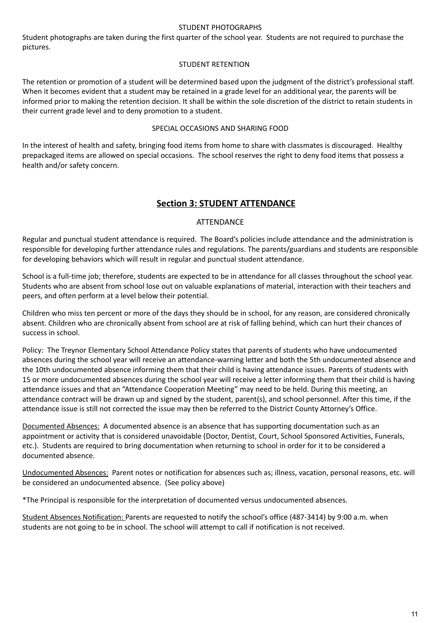#### STUDENT PHOTOGRAPHS

Student photographs are taken during the first quarter of the school year. Students are not required to purchase the pictures.

#### STUDENT RETENTION

The retention or promotion of a student will be determined based upon the judgment of the district's professional staff. When it becomes evident that a student may be retained in a grade level for an additional year, the parents will be informed prior to making the retention decision. It shall be within the sole discretion of the district to retain students in their current grade level and to deny promotion to a student.

#### SPECIAL OCCASIONS AND SHARING FOOD

In the interest of health and safety, bringing food items from home to share with classmates is discouraged. Healthy prepackaged items are allowed on special occasions. The school reserves the right to deny food items that possess a health and/or safety concern.

## **Section 3: STUDENT ATTENDANCE**

#### **ATTENDANCE**

Regular and punctual student attendance is required. The Board's policies include attendance and the administration is responsible for developing further attendance rules and regulations. The parents/guardians and students are responsible for developing behaviors which will result in regular and punctual student attendance.

School is a full-time job; therefore, students are expected to be in attendance for all classes throughout the school year. Students who are absent from school lose out on valuable explanations of material, interaction with their teachers and peers, and often perform at a level below their potential.

Children who miss ten percent or more of the days they should be in school, for any reason, are considered chronically absent. Children who are chronically absent from school are at risk of falling behind, which can hurt their chances of success in school.

Policy: The Treynor Elementary School Attendance Policy states that parents of students who have undocumented absences during the school year will receive an attendance-warning letter and both the 5th undocumented absence and the 10th undocumented absence informing them that their child is having attendance issues. Parents of students with 15 or more undocumented absences during the school year will receive a letter informing them that their child is having attendance issues and that an "Attendance Cooperation Meeting" may need to be held. During this meeting, an attendance contract will be drawn up and signed by the student, parent(s), and school personnel. After this time, if the attendance issue is still not corrected the issue may then be referred to the District County Attorney's Office.

Documented Absences: A documented absence is an absence that has supporting documentation such as an appointment or activity that is considered unavoidable (Doctor, Dentist, Court, School Sponsored Activities, Funerals, etc.). Students are required to bring documentation when returning to school in order for it to be considered a documented absence.

Undocumented Absences: Parent notes or notification for absences such as; illness, vacation, personal reasons, etc. will be considered an undocumented absence. (See policy above)

\*The Principal is responsible for the interpretation of documented versus undocumented absences.

Student Absences Notification: Parents are requested to notify the school's office (487-3414) by 9:00 a.m. when students are not going to be in school. The school will attempt to call if notification is not received.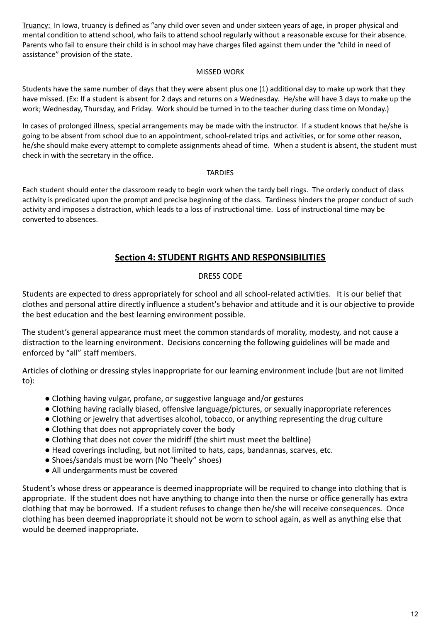Truancy: In Iowa, truancy is defined as "any child over seven and under sixteen years of age, in proper physical and mental condition to attend school, who fails to attend school regularly without a reasonable excuse for their absence. Parents who fail to ensure their child is in school may have charges filed against them under the "child in need of assistance" provision of the state.

#### MISSED WORK

Students have the same number of days that they were absent plus one (1) additional day to make up work that they have missed. (Ex: If a student is absent for 2 days and returns on a Wednesday. He/she will have 3 days to make up the work; Wednesday, Thursday, and Friday. Work should be turned in to the teacher during class time on Monday.)

In cases of prolonged illness, special arrangements may be made with the instructor. If a student knows that he/she is going to be absent from school due to an appointment, school-related trips and activities, or for some other reason, he/she should make every attempt to complete assignments ahead of time. When a student is absent, the student must check in with the secretary in the office.

#### TARDIES

Each student should enter the classroom ready to begin work when the tardy bell rings. The orderly conduct of class activity is predicated upon the prompt and precise beginning of the class. Tardiness hinders the proper conduct of such activity and imposes a distraction, which leads to a loss of instructional time. Loss of instructional time may be converted to absences.

# **Section 4: STUDENT RIGHTS AND RESPONSIBILITIES**

## DRESS CODE

Students are expected to dress appropriately for school and all school-related activities. It is our belief that clothes and personal attire directly influence a student's behavior and attitude and it is our objective to provide the best education and the best learning environment possible.

The student's general appearance must meet the common standards of morality, modesty, and not cause a distraction to the learning environment. Decisions concerning the following guidelines will be made and enforced by "all" staff members.

Articles of clothing or dressing styles inappropriate for our learning environment include (but are not limited to):

- Clothing having vulgar, profane, or suggestive language and/or gestures
- Clothing having racially biased, offensive language/pictures, or sexually inappropriate references
- Clothing or jewelry that advertises alcohol, tobacco, or anything representing the drug culture
- Clothing that does not appropriately cover the body
- Clothing that does not cover the midriff (the shirt must meet the beltline)
- Head coverings including, but not limited to hats, caps, bandannas, scarves, etc.
- Shoes/sandals must be worn (No "heely" shoes)
- All undergarments must be covered

Student's whose dress or appearance is deemed inappropriate will be required to change into clothing that is appropriate. If the student does not have anything to change into then the nurse or office generally has extra clothing that may be borrowed. If a student refuses to change then he/she will receive consequences. Once clothing has been deemed inappropriate it should not be worn to school again, as well as anything else that would be deemed inappropriate.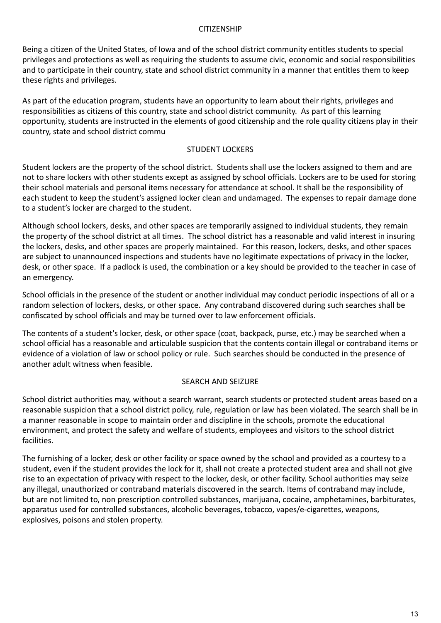#### **CITIZENSHIP**

Being a citizen of the United States, of Iowa and of the school district community entitles students to special privileges and protections as well as requiring the students to assume civic, economic and social responsibilities and to participate in their country, state and school district community in a manner that entitles them to keep these rights and privileges.

As part of the education program, students have an opportunity to learn about their rights, privileges and responsibilities as citizens of this country, state and school district community. As part of this learning opportunity, students are instructed in the elements of good citizenship and the role quality citizens play in their country, state and school district commu

#### STUDENT LOCKERS

Student lockers are the property of the school district. Students shall use the lockers assigned to them and are not to share lockers with other students except as assigned by school officials. Lockers are to be used for storing their school materials and personal items necessary for attendance at school. It shall be the responsibility of each student to keep the student's assigned locker clean and undamaged. The expenses to repair damage done to a student's locker are charged to the student.

Although school lockers, desks, and other spaces are temporarily assigned to individual students, they remain the property of the school district at all times. The school district has a reasonable and valid interest in insuring the lockers, desks, and other spaces are properly maintained. For this reason, lockers, desks, and other spaces are subject to unannounced inspections and students have no legitimate expectations of privacy in the locker, desk, or other space. If a padlock is used, the combination or a key should be provided to the teacher in case of an emergency.

School officials in the presence of the student or another individual may conduct periodic inspections of all or a random selection of lockers, desks, or other space. Any contraband discovered during such searches shall be confiscated by school officials and may be turned over to law enforcement officials.

The contents of a student's locker, desk, or other space (coat, backpack, purse, etc.) may be searched when a school official has a reasonable and articulable suspicion that the contents contain illegal or contraband items or evidence of a violation of law or school policy or rule. Such searches should be conducted in the presence of another adult witness when feasible.

#### SEARCH AND SEIZURE

School district authorities may, without a search warrant, search students or protected student areas based on a reasonable suspicion that a school district policy, rule, regulation or law has been violated. The search shall be in a manner reasonable in scope to maintain order and discipline in the schools, promote the educational environment, and protect the safety and welfare of students, employees and visitors to the school district facilities.

The furnishing of a locker, desk or other facility or space owned by the school and provided as a courtesy to a student, even if the student provides the lock for it, shall not create a protected student area and shall not give rise to an expectation of privacy with respect to the locker, desk, or other facility. School authorities may seize any illegal, unauthorized or contraband materials discovered in the search. Items of contraband may include, but are not limited to, non prescription controlled substances, marijuana, cocaine, amphetamines, barbiturates, apparatus used for controlled substances, alcoholic beverages, tobacco, vapes/e-cigarettes, weapons, explosives, poisons and stolen property.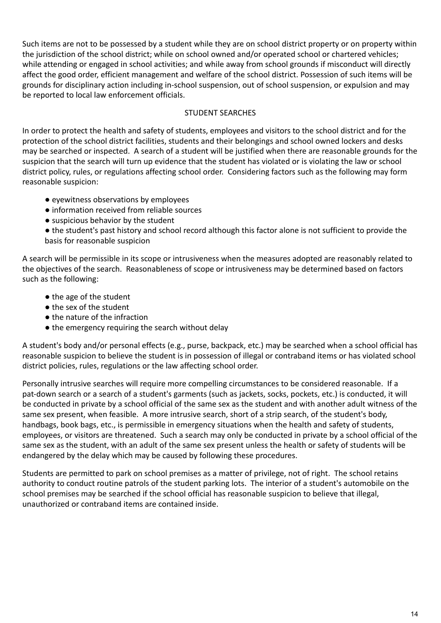Such items are not to be possessed by a student while they are on school district property or on property within the jurisdiction of the school district; while on school owned and/or operated school or chartered vehicles; while attending or engaged in school activities; and while away from school grounds if misconduct will directly affect the good order, efficient management and welfare of the school district. Possession of such items will be grounds for disciplinary action including in-school suspension, out of school suspension, or expulsion and may be reported to local law enforcement officials.

## STUDENT SEARCHES

In order to protect the health and safety of students, employees and visitors to the school district and for the protection of the school district facilities, students and their belongings and school owned lockers and desks may be searched or inspected. A search of a student will be justified when there are reasonable grounds for the suspicion that the search will turn up evidence that the student has violated or is violating the law or school district policy, rules, or regulations affecting school order. Considering factors such as the following may form reasonable suspicion:

- eyewitness observations by employees
- information received from reliable sources
- suspicious behavior by the student

● the student's past history and school record although this factor alone is not sufficient to provide the basis for reasonable suspicion

A search will be permissible in its scope or intrusiveness when the measures adopted are reasonably related to the objectives of the search. Reasonableness of scope or intrusiveness may be determined based on factors such as the following:

- the age of the student
- the sex of the student
- the nature of the infraction
- the emergency requiring the search without delay

A student's body and/or personal effects (e.g., purse, backpack, etc.) may be searched when a school official has reasonable suspicion to believe the student is in possession of illegal or contraband items or has violated school district policies, rules, regulations or the law affecting school order.

Personally intrusive searches will require more compelling circumstances to be considered reasonable. If a pat-down search or a search of a student's garments (such as jackets, socks, pockets, etc.) is conducted, it will be conducted in private by a school official of the same sex as the student and with another adult witness of the same sex present, when feasible. A more intrusive search, short of a strip search, of the student's body, handbags, book bags, etc., is permissible in emergency situations when the health and safety of students, employees, or visitors are threatened. Such a search may only be conducted in private by a school official of the same sex as the student, with an adult of the same sex present unless the health or safety of students will be endangered by the delay which may be caused by following these procedures.

Students are permitted to park on school premises as a matter of privilege, not of right. The school retains authority to conduct routine patrols of the student parking lots. The interior of a student's automobile on the school premises may be searched if the school official has reasonable suspicion to believe that illegal, unauthorized or contraband items are contained inside.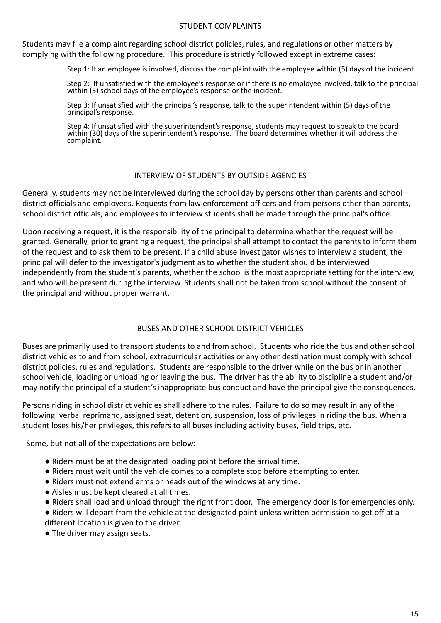#### STUDENT COMPLAINTS

Students may file a complaint regarding school district policies, rules, and regulations or other matters by complying with the following procedure. This procedure is strictly followed except in extreme cases:

Step 1: If an employee is involved, discuss the complaint with the employee within (5) days of the incident.

Step 2: If unsatisfied with the employee's response or if there is no employee involved, talk to the principal within (5) school days of the employee's response or the incident.

Step 3: If unsatisfied with the principal's response, talk to the superintendent within (5) days of the principal's response.

Step 4: If unsatisfied with the superintendent's response, students may request to speak to the board within (30) days of the superintendent's response. The board determines whether it will address the complaint.

#### INTERVIEW OF STUDENTS BY OUTSIDE AGENCIES

Generally, students may not be interviewed during the school day by persons other than parents and school district officials and employees. Requests from law enforcement officers and from persons other than parents, school district officials, and employees to interview students shall be made through the principal's office.

Upon receiving a request, it is the responsibility of the principal to determine whether the request will be granted. Generally, prior to granting a request, the principal shall attempt to contact the parents to inform them of the request and to ask them to be present. If a child abuse investigator wishes to interview a student, the principal will defer to the investigator's judgment as to whether the student should be interviewed independently from the student's parents, whether the school is the most appropriate setting for the interview, and who will be present during the interview. Students shall not be taken from school without the consent of the principal and without proper warrant.

## BUSES AND OTHER SCHOOL DISTRICT VEHICLES

Buses are primarily used to transport students to and from school. Students who ride the bus and other school district vehicles to and from school, extracurricular activities or any other destination must comply with school district policies, rules and regulations. Students are responsible to the driver while on the bus or in another school vehicle, loading or unloading or leaving the bus. The driver has the ability to discipline a student and/or may notify the principal of a student's inappropriate bus conduct and have the principal give the consequences.

Persons riding in school district vehicles shall adhere to the rules. Failure to do so may result in any of the following: verbal reprimand, assigned seat, detention, suspension, loss of privileges in riding the bus. When a student loses his/her privileges, this refers to all buses including activity buses, field trips, etc.

Some, but not all of the expectations are below:

- Riders must be at the designated loading point before the arrival time.
- Riders must wait until the vehicle comes to a complete stop before attempting to enter.
- Riders must not extend arms or heads out of the windows at any time.
- Aisles must be kept cleared at all times.
- Riders shall load and unload through the right front door. The emergency door is for emergencies only.
- Riders will depart from the vehicle at the designated point unless written permission to get off at a
- different location is given to the driver.
- The driver may assign seats.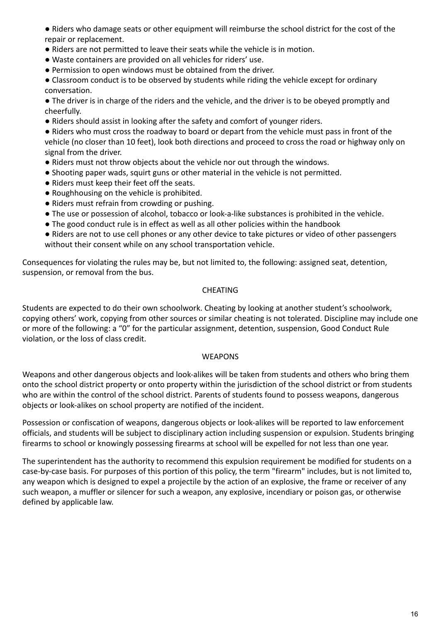● Riders who damage seats or other equipment will reimburse the school district for the cost of the repair or replacement.

- Riders are not permitted to leave their seats while the vehicle is in motion.
- Waste containers are provided on all vehicles for riders' use.
- Permission to open windows must be obtained from the driver.

● Classroom conduct is to be observed by students while riding the vehicle except for ordinary conversation.

● The driver is in charge of the riders and the vehicle, and the driver is to be obeyed promptly and cheerfully.

● Riders should assist in looking after the safety and comfort of younger riders.

● Riders who must cross the roadway to board or depart from the vehicle must pass in front of the vehicle (no closer than 10 feet), look both directions and proceed to cross the road or highway only on signal from the driver.

- Riders must not throw objects about the vehicle nor out through the windows.
- Shooting paper wads, squirt guns or other material in the vehicle is not permitted.
- Riders must keep their feet off the seats.
- Roughhousing on the vehicle is prohibited.
- Riders must refrain from crowding or pushing.
- The use or possession of alcohol, tobacco or look-a-like substances is prohibited in the vehicle.
- The good conduct rule is in effect as well as all other policies within the handbook
- Riders are not to use cell phones or any other device to take pictures or video of other passengers without their consent while on any school transportation vehicle.

Consequences for violating the rules may be, but not limited to, the following: assigned seat, detention, suspension, or removal from the bus.

#### CHEATING

Students are expected to do their own schoolwork. Cheating by looking at another student's schoolwork, copying others' work, copying from other sources or similar cheating is not tolerated. Discipline may include one or more of the following: a "0" for the particular assignment, detention, suspension, Good Conduct Rule violation, or the loss of class credit.

#### WEAPONS

Weapons and other dangerous objects and look-alikes will be taken from students and others who bring them onto the school district property or onto property within the jurisdiction of the school district or from students who are within the control of the school district. Parents of students found to possess weapons, dangerous objects or look-alikes on school property are notified of the incident.

Possession or confiscation of weapons, dangerous objects or look-alikes will be reported to law enforcement officials, and students will be subject to disciplinary action including suspension or expulsion. Students bringing firearms to school or knowingly possessing firearms at school will be expelled for not less than one year.

The superintendent has the authority to recommend this expulsion requirement be modified for students on a case-by-case basis. For purposes of this portion of this policy, the term "firearm" includes, but is not limited to, any weapon which is designed to expel a projectile by the action of an explosive, the frame or receiver of any such weapon, a muffler or silencer for such a weapon, any explosive, incendiary or poison gas, or otherwise defined by applicable law.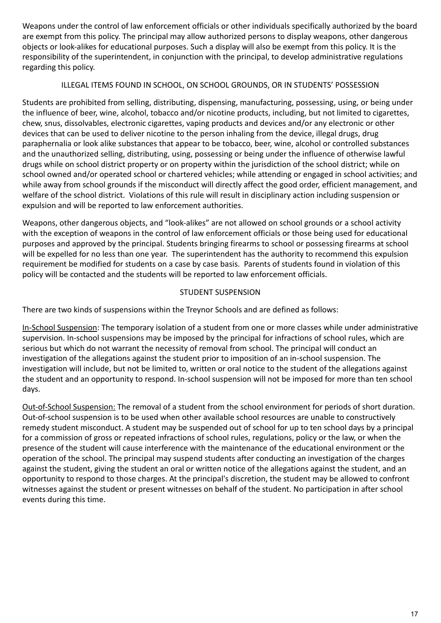Weapons under the control of law enforcement officials or other individuals specifically authorized by the board are exempt from this policy. The principal may allow authorized persons to display weapons, other dangerous objects or look-alikes for educational purposes. Such a display will also be exempt from this policy. It is the responsibility of the superintendent, in conjunction with the principal, to develop administrative regulations regarding this policy.

## ILLEGAL ITEMS FOUND IN SCHOOL, ON SCHOOL GROUNDS, OR IN STUDENTS' POSSESSION

Students are prohibited from selling, distributing, dispensing, manufacturing, possessing, using, or being under the influence of beer, wine, alcohol, tobacco and/or nicotine products, including, but not limited to cigarettes, chew, snus, dissolvables, electronic cigarettes, vaping products and devices and/or any electronic or other devices that can be used to deliver nicotine to the person inhaling from the device, illegal drugs, drug paraphernalia or look alike substances that appear to be tobacco, beer, wine, alcohol or controlled substances and the unauthorized selling, distributing, using, possessing or being under the influence of otherwise lawful drugs while on school district property or on property within the jurisdiction of the school district; while on school owned and/or operated school or chartered vehicles; while attending or engaged in school activities; and while away from school grounds if the misconduct will directly affect the good order, efficient management, and welfare of the school district. Violations of this rule will result in disciplinary action including suspension or expulsion and will be reported to law enforcement authorities.

Weapons, other dangerous objects, and "look-alikes" are not allowed on school grounds or a school activity with the exception of weapons in the control of law enforcement officials or those being used for educational purposes and approved by the principal. Students bringing firearms to school or possessing firearms at school will be expelled for no less than one year. The superintendent has the authority to recommend this expulsion requirement be modified for students on a case by case basis. Parents of students found in violation of this policy will be contacted and the students will be reported to law enforcement officials.

## STUDENT SUSPENSION

There are two kinds of suspensions within the Treynor Schools and are defined as follows:

In-School Suspension: The temporary isolation of a student from one or more classes while under administrative supervision. In-school suspensions may be imposed by the principal for infractions of school rules, which are serious but which do not warrant the necessity of removal from school. The principal will conduct an investigation of the allegations against the student prior to imposition of an in-school suspension. The investigation will include, but not be limited to, written or oral notice to the student of the allegations against the student and an opportunity to respond. In-school suspension will not be imposed for more than ten school days.

Out-of-School Suspension: The removal of a student from the school environment for periods of short duration. Out-of-school suspension is to be used when other available school resources are unable to constructively remedy student misconduct. A student may be suspended out of school for up to ten school days by a principal for a commission of gross or repeated infractions of school rules, regulations, policy or the law, or when the presence of the student will cause interference with the maintenance of the educational environment or the operation of the school. The principal may suspend students after conducting an investigation of the charges against the student, giving the student an oral or written notice of the allegations against the student, and an opportunity to respond to those charges. At the principal's discretion, the student may be allowed to confront witnesses against the student or present witnesses on behalf of the student. No participation in after school events during this time.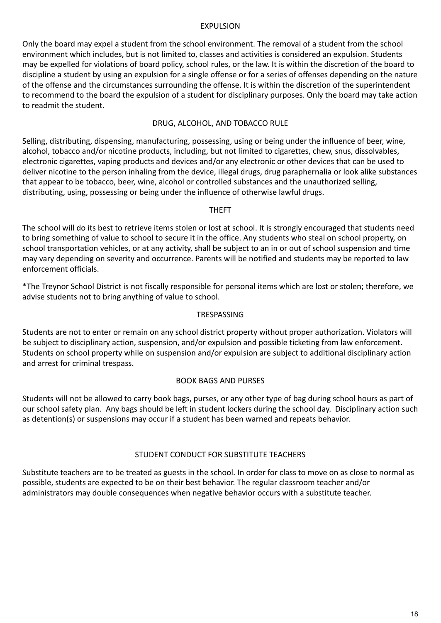#### EXPULSION

Only the board may expel a student from the school environment. The removal of a student from the school environment which includes, but is not limited to, classes and activities is considered an expulsion. Students may be expelled for violations of board policy, school rules, or the law. It is within the discretion of the board to discipline a student by using an expulsion for a single offense or for a series of offenses depending on the nature of the offense and the circumstances surrounding the offense. It is within the discretion of the superintendent to recommend to the board the expulsion of a student for disciplinary purposes. Only the board may take action to readmit the student.

#### DRUG, ALCOHOL, AND TOBACCO RULE

Selling, distributing, dispensing, manufacturing, possessing, using or being under the influence of beer, wine, alcohol, tobacco and/or nicotine products, including, but not limited to cigarettes, chew, snus, dissolvables, electronic cigarettes, vaping products and devices and/or any electronic or other devices that can be used to deliver nicotine to the person inhaling from the device, illegal drugs, drug paraphernalia or look alike substances that appear to be tobacco, beer, wine, alcohol or controlled substances and the unauthorized selling, distributing, using, possessing or being under the influence of otherwise lawful drugs.

#### THEFT

The school will do its best to retrieve items stolen or lost at school. It is strongly encouraged that students need to bring something of value to school to secure it in the office. Any students who steal on school property, on school transportation vehicles, or at any activity, shall be subject to an in or out of school suspension and time may vary depending on severity and occurrence. Parents will be notified and students may be reported to law enforcement officials.

\*The Treynor School District is not fiscally responsible for personal items which are lost or stolen; therefore, we advise students not to bring anything of value to school.

#### **TRESPASSING**

Students are not to enter or remain on any school district property without proper authorization. Violators will be subject to disciplinary action, suspension, and/or expulsion and possible ticketing from law enforcement. Students on school property while on suspension and/or expulsion are subject to additional disciplinary action and arrest for criminal trespass.

#### BOOK BAGS AND PURSES

Students will not be allowed to carry book bags, purses, or any other type of bag during school hours as part of our school safety plan. Any bags should be left in student lockers during the school day. Disciplinary action such as detention(s) or suspensions may occur if a student has been warned and repeats behavior.

#### STUDENT CONDUCT FOR SUBSTITUTE TEACHERS

Substitute teachers are to be treated as guests in the school. In order for class to move on as close to normal as possible, students are expected to be on their best behavior. The regular classroom teacher and/or administrators may double consequences when negative behavior occurs with a substitute teacher.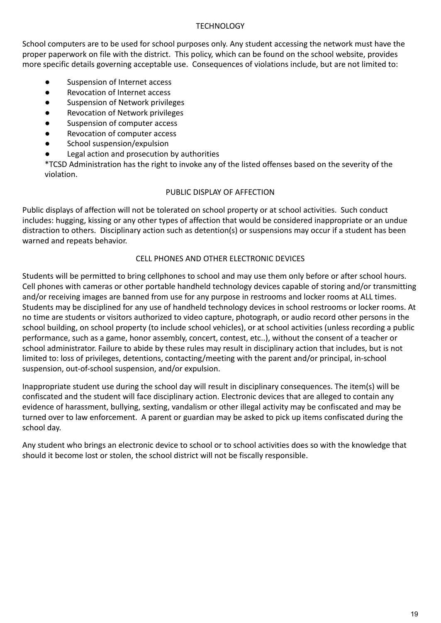#### **TECHNOLOGY**

School computers are to be used for school purposes only. Any student accessing the network must have the proper paperwork on file with the district. This policy, which can be found on the school website, provides more specific details governing acceptable use. Consequences of violations include, but are not limited to:

- Suspension of Internet access
- Revocation of Internet access
- Suspension of Network privileges
- **Revocation of Network privileges**
- Suspension of computer access
- Revocation of computer access
- School suspension/expulsion
- Legal action and prosecution by authorities

\*TCSD Administration has the right to invoke any of the listed offenses based on the severity of the violation.

#### PUBLIC DISPLAY OF AFFECTION

Public displays of affection will not be tolerated on school property or at school activities. Such conduct includes: hugging, kissing or any other types of affection that would be considered inappropriate or an undue distraction to others. Disciplinary action such as detention(s) or suspensions may occur if a student has been warned and repeats behavior.

## CELL PHONES AND OTHER ELECTRONIC DEVICES

Students will be permitted to bring cellphones to school and may use them only before or after school hours. Cell phones with cameras or other portable handheld technology devices capable of storing and/or transmitting and/or receiving images are banned from use for any purpose in restrooms and locker rooms at ALL times. Students may be disciplined for any use of handheld technology devices in school restrooms or locker rooms. At no time are students or visitors authorized to video capture, photograph, or audio record other persons in the school building, on school property (to include school vehicles), or at school activities (unless recording a public performance, such as a game, honor assembly, concert, contest, etc..), without the consent of a teacher or school administrator. Failure to abide by these rules may result in disciplinary action that includes, but is not limited to: loss of privileges, detentions, contacting/meeting with the parent and/or principal, in-school suspension, out-of-school suspension, and/or expulsion.

Inappropriate student use during the school day will result in disciplinary consequences. The item(s) will be confiscated and the student will face disciplinary action. Electronic devices that are alleged to contain any evidence of harassment, bullying, sexting, vandalism or other illegal activity may be confiscated and may be turned over to law enforcement. A parent or guardian may be asked to pick up items confiscated during the school day.

Any student who brings an electronic device to school or to school activities does so with the knowledge that should it become lost or stolen, the school district will not be fiscally responsible.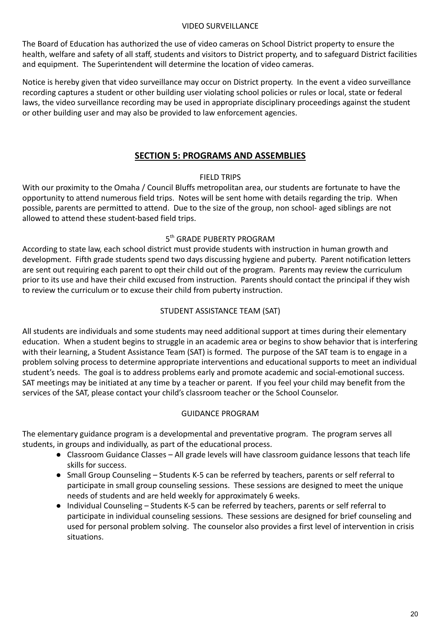#### VIDEO SURVEILLANCE

The Board of Education has authorized the use of video cameras on School District property to ensure the health, welfare and safety of all staff, students and visitors to District property, and to safeguard District facilities and equipment. The Superintendent will determine the location of video cameras.

Notice is hereby given that video surveillance may occur on District property. In the event a video surveillance recording captures a student or other building user violating school policies or rules or local, state or federal laws, the video surveillance recording may be used in appropriate disciplinary proceedings against the student or other building user and may also be provided to law enforcement agencies.

## **SECTION 5: PROGRAMS AND ASSEMBLIES**

## FIELD TRIPS

With our proximity to the Omaha / Council Bluffs metropolitan area, our students are fortunate to have the opportunity to attend numerous field trips. Notes will be sent home with details regarding the trip. When possible, parents are permitted to attend. Due to the size of the group, non school- aged siblings are not allowed to attend these student-based field trips.

## 5<sup>th</sup> GRADE PUBERTY PROGRAM

According to state law, each school district must provide students with instruction in human growth and development. Fifth grade students spend two days discussing hygiene and puberty. Parent notification letters are sent out requiring each parent to opt their child out of the program. Parents may review the curriculum prior to its use and have their child excused from instruction. Parents should contact the principal if they wish to review the curriculum or to excuse their child from puberty instruction.

## STUDENT ASSISTANCE TEAM (SAT)

All students are individuals and some students may need additional support at times during their elementary education. When a student begins to struggle in an academic area or begins to show behavior that is interfering with their learning, a Student Assistance Team (SAT) is formed. The purpose of the SAT team is to engage in a problem solving process to determine appropriate interventions and educational supports to meet an individual student's needs. The goal is to address problems early and promote academic and social-emotional success. SAT meetings may be initiated at any time by a teacher or parent. If you feel your child may benefit from the services of the SAT, please contact your child's classroom teacher or the School Counselor.

## GUIDANCE PROGRAM

The elementary guidance program is a developmental and preventative program. The program serves all students, in groups and individually, as part of the educational process.

- Classroom Guidance Classes All grade levels will have classroom guidance lessons that teach life skills for success.
- Small Group Counseling Students K-5 can be referred by teachers, parents or self referral to participate in small group counseling sessions. These sessions are designed to meet the unique needs of students and are held weekly for approximately 6 weeks.
- Individual Counseling Students K-5 can be referred by teachers, parents or self referral to participate in individual counseling sessions. These sessions are designed for brief counseling and used for personal problem solving. The counselor also provides a first level of intervention in crisis situations.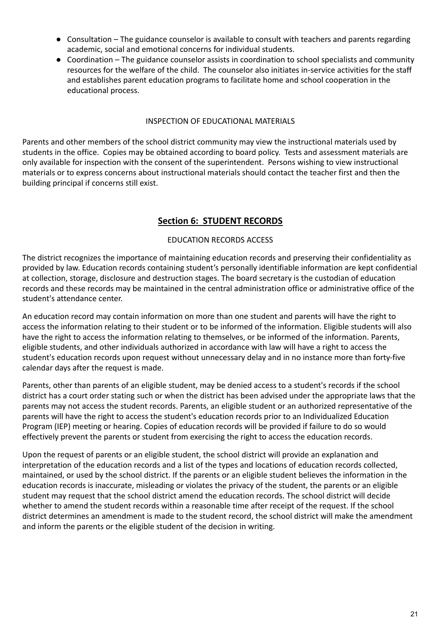- Consultation The guidance counselor is available to consult with teachers and parents regarding academic, social and emotional concerns for individual students.
- Coordination The guidance counselor assists in coordination to school specialists and community resources for the welfare of the child. The counselor also initiates in-service activities for the staff and establishes parent education programs to facilitate home and school cooperation in the educational process.

## INSPECTION OF EDUCATIONAL MATERIALS

Parents and other members of the school district community may view the instructional materials used by students in the office. Copies may be obtained according to board policy. Tests and assessment materials are only available for inspection with the consent of the superintendent. Persons wishing to view instructional materials or to express concerns about instructional materials should contact the teacher first and then the building principal if concerns still exist.

# **Section 6: STUDENT RECORDS**

## EDUCATION RECORDS ACCESS

The district recognizes the importance of maintaining education records and preserving their confidentiality as provided by law. Education records containing student's personally identifiable information are kept confidential at collection, storage, disclosure and destruction stages. The board secretary is the custodian of education records and these records may be maintained in the central administration office or administrative office of the student's attendance center.

An education record may contain information on more than one student and parents will have the right to access the information relating to their student or to be informed of the information. Eligible students will also have the right to access the information relating to themselves, or be informed of the information. Parents, eligible students, and other individuals authorized in accordance with law will have a right to access the student's education records upon request without unnecessary delay and in no instance more than forty-five calendar days after the request is made.

Parents, other than parents of an eligible student, may be denied access to a student's records if the school district has a court order stating such or when the district has been advised under the appropriate laws that the parents may not access the student records. Parents, an eligible student or an authorized representative of the parents will have the right to access the student's education records prior to an Individualized Education Program (IEP) meeting or hearing. Copies of education records will be provided if failure to do so would effectively prevent the parents or student from exercising the right to access the education records.

Upon the request of parents or an eligible student, the school district will provide an explanation and interpretation of the education records and a list of the types and locations of education records collected, maintained, or used by the school district. If the parents or an eligible student believes the information in the education records is inaccurate, misleading or violates the privacy of the student, the parents or an eligible student may request that the school district amend the education records. The school district will decide whether to amend the student records within a reasonable time after receipt of the request. If the school district determines an amendment is made to the student record, the school district will make the amendment and inform the parents or the eligible student of the decision in writing.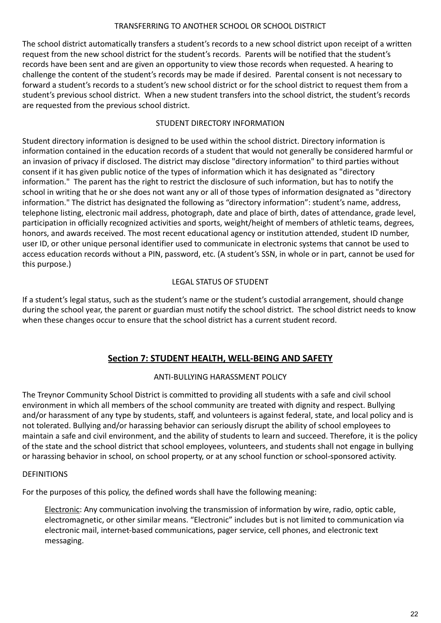## TRANSFERRING TO ANOTHER SCHOOL OR SCHOOL DISTRICT

The school district automatically transfers a student's records to a new school district upon receipt of a written request from the new school district for the student's records. Parents will be notified that the student's records have been sent and are given an opportunity to view those records when requested. A hearing to challenge the content of the student's records may be made if desired. Parental consent is not necessary to forward a student's records to a student's new school district or for the school district to request them from a student's previous school district. When a new student transfers into the school district, the student's records are requested from the previous school district.

## STUDENT DIRECTORY INFORMATION

Student directory information is designed to be used within the school district. Directory information is information contained in the education records of a student that would not generally be considered harmful or an invasion of privacy if disclosed. The district may disclose "directory information" to third parties without consent if it has given public notice of the types of information which it has designated as "directory information." The parent has the right to restrict the disclosure of such information, but has to notify the school in writing that he or she does not want any or all of those types of information designated as "directory information." The district has designated the following as "directory information": student's name, address, telephone listing, electronic mail address, photograph, date and place of birth, dates of attendance, grade level, participation in officially recognized activities and sports, weight/height of members of athletic teams, degrees, honors, and awards received. The most recent educational agency or institution attended, student ID number, user ID, or other unique personal identifier used to communicate in electronic systems that cannot be used to access education records without a PIN, password, etc. (A student's SSN, in whole or in part, cannot be used for this purpose.)

## LEGAL STATUS OF STUDENT

If a student's legal status, such as the student's name or the student's custodial arrangement, should change during the school year, the parent or guardian must notify the school district. The school district needs to know when these changes occur to ensure that the school district has a current student record.

# **Section 7: STUDENT HEALTH, WELL-BEING AND SAFETY**

## ANTI-BULLYING HARASSMENT POLICY

The Treynor Community School District is committed to providing all students with a safe and civil school environment in which all members of the school community are treated with dignity and respect. Bullying and/or harassment of any type by students, staff, and volunteers is against federal, state, and local policy and is not tolerated. Bullying and/or harassing behavior can seriously disrupt the ability of school employees to maintain a safe and civil environment, and the ability of students to learn and succeed. Therefore, it is the policy of the state and the school district that school employees, volunteers, and students shall not engage in bullying or harassing behavior in school, on school property, or at any school function or school-sponsored activity.

#### DEFINITIONS

For the purposes of this policy, the defined words shall have the following meaning:

Electronic: Any communication involving the transmission of information by wire, radio, optic cable, electromagnetic, or other similar means. "Electronic" includes but is not limited to communication via electronic mail, internet-based communications, pager service, cell phones, and electronic text messaging.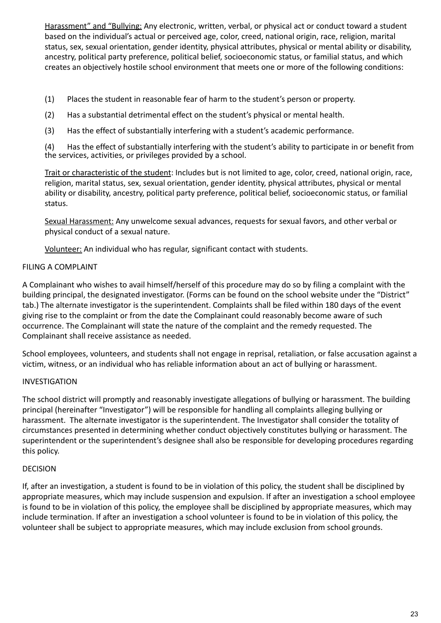Harassment" and "Bullying: Any electronic, written, verbal, or physical act or conduct toward a student based on the individual's actual or perceived age, color, creed, national origin, race, religion, marital status, sex, sexual orientation, gender identity, physical attributes, physical or mental ability or disability, ancestry, political party preference, political belief, socioeconomic status, or familial status, and which creates an objectively hostile school environment that meets one or more of the following conditions:

- (1) Places the student in reasonable fear of harm to the student's person or property.
- (2) Has a substantial detrimental effect on the student's physical or mental health.
- (3) Has the effect of substantially interfering with a student's academic performance.

(4) Has the effect of substantially interfering with the student's ability to participate in or benefit from the services, activities, or privileges provided by a school.

Trait or characteristic of the student: Includes but is not limited to age, color, creed, national origin, race, religion, marital status, sex, sexual orientation, gender identity, physical attributes, physical or mental ability or disability, ancestry, political party preference, political belief, socioeconomic status, or familial status.

Sexual Harassment: Any unwelcome sexual advances, requests for sexual favors, and other verbal or physical conduct of a sexual nature.

Volunteer: An individual who has regular, significant contact with students.

## FILING A COMPLAINT

A Complainant who wishes to avail himself/herself of this procedure may do so by filing a complaint with the building principal, the designated investigator. (Forms can be found on the school website under the "District" tab.) The alternate investigator is the superintendent. Complaints shall be filed within 180 days of the event giving rise to the complaint or from the date the Complainant could reasonably become aware of such occurrence. The Complainant will state the nature of the complaint and the remedy requested. The Complainant shall receive assistance as needed.

School employees, volunteers, and students shall not engage in reprisal, retaliation, or false accusation against a victim, witness, or an individual who has reliable information about an act of bullying or harassment.

# INVESTIGATION

The school district will promptly and reasonably investigate allegations of bullying or harassment. The building principal (hereinafter "Investigator") will be responsible for handling all complaints alleging bullying or harassment. The alternate investigator is the superintendent. The Investigator shall consider the totality of circumstances presented in determining whether conduct objectively constitutes bullying or harassment. The superintendent or the superintendent's designee shall also be responsible for developing procedures regarding this policy.

## DECISION

If, after an investigation, a student is found to be in violation of this policy, the student shall be disciplined by appropriate measures, which may include suspension and expulsion. If after an investigation a school employee is found to be in violation of this policy, the employee shall be disciplined by appropriate measures, which may include termination. If after an investigation a school volunteer is found to be in violation of this policy, the volunteer shall be subject to appropriate measures, which may include exclusion from school grounds.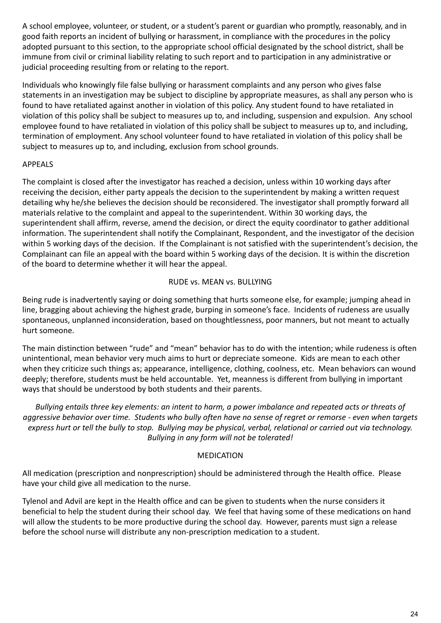A school employee, volunteer, or student, or a student's parent or guardian who promptly, reasonably, and in good faith reports an incident of bullying or harassment, in compliance with the procedures in the policy adopted pursuant to this section, to the appropriate school official designated by the school district, shall be immune from civil or criminal liability relating to such report and to participation in any administrative or judicial proceeding resulting from or relating to the report.

Individuals who knowingly file false bullying or harassment complaints and any person who gives false statements in an investigation may be subject to discipline by appropriate measures, as shall any person who is found to have retaliated against another in violation of this policy. Any student found to have retaliated in violation of this policy shall be subject to measures up to, and including, suspension and expulsion. Any school employee found to have retaliated in violation of this policy shall be subject to measures up to, and including, termination of employment. Any school volunteer found to have retaliated in violation of this policy shall be subject to measures up to, and including, exclusion from school grounds.

## APPEALS

The complaint is closed after the investigator has reached a decision, unless within 10 working days after receiving the decision, either party appeals the decision to the superintendent by making a written request detailing why he/she believes the decision should be reconsidered. The investigator shall promptly forward all materials relative to the complaint and appeal to the superintendent. Within 30 working days, the superintendent shall affirm, reverse, amend the decision, or direct the equity coordinator to gather additional information. The superintendent shall notify the Complainant, Respondent, and the investigator of the decision within 5 working days of the decision. If the Complainant is not satisfied with the superintendent's decision, the Complainant can file an appeal with the board within 5 working days of the decision. It is within the discretion of the board to determine whether it will hear the appeal.

## RUDE vs. MEAN vs. BULLYING

Being rude is inadvertently saying or doing something that hurts someone else, for example; jumping ahead in line, bragging about achieving the highest grade, burping in someone's face. Incidents of rudeness are usually spontaneous, unplanned inconsideration, based on thoughtlessness, poor manners, but not meant to actually hurt someone.

The main distinction between "rude" and "mean" behavior has to do with the intention; while rudeness is often unintentional, mean behavior very much aims to hurt or depreciate someone. Kids are mean to each other when they criticize such things as; appearance, intelligence, clothing, coolness, etc. Mean behaviors can wound deeply; therefore, students must be held accountable. Yet, meanness is different from bullying in important ways that should be understood by both students and their parents.

Bullying entails three key elements: an intent to harm, a power imbalance and repeated acts or threats of aggressive behavior over time. Students who bully often have no sense of regret or remorse - even when targets express hurt or tell the bully to stop. Bullying may be physical, verbal, relational or carried out via technology. *Bullying in any form will not be tolerated!*

## MEDICATION

All medication (prescription and nonprescription) should be administered through the Health office. Please have your child give all medication to the nurse.

Tylenol and Advil are kept in the Health office and can be given to students when the nurse considers it beneficial to help the student during their school day. We feel that having some of these medications on hand will allow the students to be more productive during the school day. However, parents must sign a release before the school nurse will distribute any non-prescription medication to a student.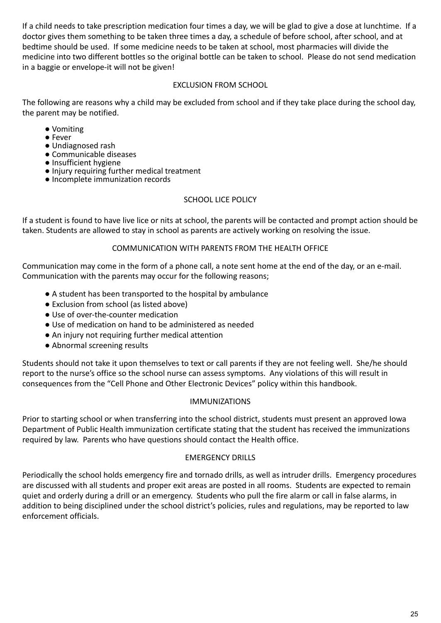If a child needs to take prescription medication four times a day, we will be glad to give a dose at lunchtime. If a doctor gives them something to be taken three times a day, a schedule of before school, after school, and at bedtime should be used. If some medicine needs to be taken at school, most pharmacies will divide the medicine into two different bottles so the original bottle can be taken to school. Please do not send medication in a baggie or envelope-it will not be given!

## EXCLUSION FROM SCHOOL

The following are reasons why a child may be excluded from school and if they take place during the school day, the parent may be notified.

- Vomiting
- Fever
- Undiagnosed rash
- Communicable diseases
- Insufficient hygiene
- Injury requiring further medical treatment
- Incomplete immunization records

## SCHOOL LICE POLICY

If a student is found to have live lice or nits at school, the parents will be contacted and prompt action should be taken. Students are allowed to stay in school as parents are actively working on resolving the issue.

## COMMUNICATION WITH PARENTS FROM THE HEALTH OFFICE

Communication may come in the form of a phone call, a note sent home at the end of the day, or an e-mail. Communication with the parents may occur for the following reasons;

- A student has been transported to the hospital by ambulance
- Exclusion from school (as listed above)
- Use of over-the-counter medication
- Use of medication on hand to be administered as needed
- An injury not requiring further medical attention
- Abnormal screening results

Students should not take it upon themselves to text or call parents if they are not feeling well. She/he should report to the nurse's office so the school nurse can assess symptoms. Any violations of this will result in consequences from the "Cell Phone and Other Electronic Devices" policy within this handbook.

#### IMMUNIZATIONS

Prior to starting school or when transferring into the school district, students must present an approved Iowa Department of Public Health immunization certificate stating that the student has received the immunizations required by law. Parents who have questions should contact the Health office.

#### EMERGENCY DRILLS

Periodically the school holds emergency fire and tornado drills, as well as intruder drills. Emergency procedures are discussed with all students and proper exit areas are posted in all rooms. Students are expected to remain quiet and orderly during a drill or an emergency. Students who pull the fire alarm or call in false alarms, in addition to being disciplined under the school district's policies, rules and regulations, may be reported to law enforcement officials.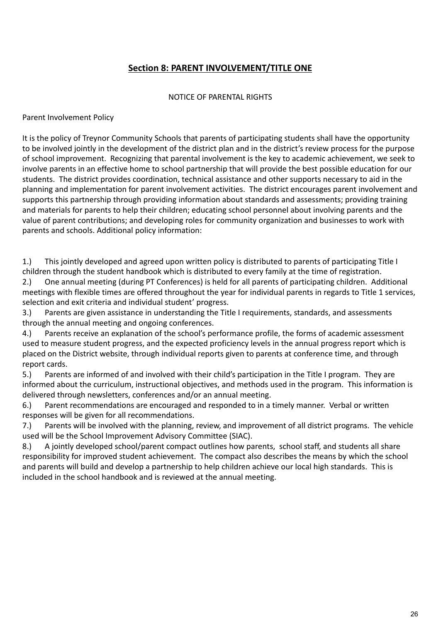# **Section 8: PARENT INVOLVEMENT/TITLE ONE**

#### NOTICE OF PARENTAL RIGHTS

## Parent Involvement Policy

It is the policy of Treynor Community Schools that parents of participating students shall have the opportunity to be involved jointly in the development of the district plan and in the district's review process for the purpose of school improvement. Recognizing that parental involvement is the key to academic achievement, we seek to involve parents in an effective home to school partnership that will provide the best possible education for our students. The district provides coordination, technical assistance and other supports necessary to aid in the planning and implementation for parent involvement activities. The district encourages parent involvement and supports this partnership through providing information about standards and assessments; providing training and materials for parents to help their children; educating school personnel about involving parents and the value of parent contributions; and developing roles for community organization and businesses to work with parents and schools. Additional policy information:

1.) This jointly developed and agreed upon written policy is distributed to parents of participating Title I children through the student handbook which is distributed to every family at the time of registration.

2.) One annual meeting (during PT Conferences) is held for all parents of participating children. Additional meetings with flexible times are offered throughout the year for individual parents in regards to Title 1 services, selection and exit criteria and individual student' progress.

3.) Parents are given assistance in understanding the Title I requirements, standards, and assessments through the annual meeting and ongoing conferences.

4.) Parents receive an explanation of the school's performance profile, the forms of academic assessment used to measure student progress, and the expected proficiency levels in the annual progress report which is placed on the District website, through individual reports given to parents at conference time, and through report cards.

5.) Parents are informed of and involved with their child's participation in the Title I program. They are informed about the curriculum, instructional objectives, and methods used in the program. This information is delivered through newsletters, conferences and/or an annual meeting.

6.) Parent recommendations are encouraged and responded to in a timely manner. Verbal or written responses will be given for all recommendations.

7.) Parents will be involved with the planning, review, and improvement of all district programs. The vehicle used will be the School Improvement Advisory Committee (SIAC).

8.) A jointly developed school/parent compact outlines how parents, school staff, and students all share responsibility for improved student achievement. The compact also describes the means by which the school and parents will build and develop a partnership to help children achieve our local high standards. This is included in the school handbook and is reviewed at the annual meeting.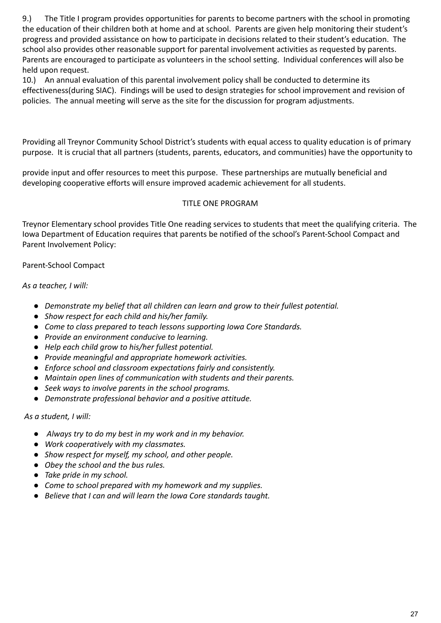9.) The Title I program provides opportunities for parents to become partners with the school in promoting the education of their children both at home and at school. Parents are given help monitoring their student's progress and provided assistance on how to participate in decisions related to their student's education. The school also provides other reasonable support for parental involvement activities as requested by parents. Parents are encouraged to participate as volunteers in the school setting. Individual conferences will also be held upon request.

10.) An annual evaluation of this parental involvement policy shall be conducted to determine its effectiveness(during SIAC). Findings will be used to design strategies for school improvement and revision of policies. The annual meeting will serve as the site for the discussion for program adjustments.

Providing all Treynor Community School District's students with equal access to quality education is of primary purpose. It is crucial that all partners (students, parents, educators, and communities) have the opportunity to

provide input and offer resources to meet this purpose. These partnerships are mutually beneficial and developing cooperative efforts will ensure improved academic achievement for all students.

## TITLE ONE PROGRAM

Treynor Elementary school provides Title One reading services to students that meet the qualifying criteria. The Iowa Department of Education requires that parents be notified of the school's Parent-School Compact and Parent Involvement Policy:

## Parent-School Compact

*As a teacher, I will:*

- *● Demonstrate my belief that all children can learn and grow to their fullest potential.*
- *● Show respect for each child and his/her family.*
- *● Come to class prepared to teach lessons supporting Iowa Core Standards.*
- *● Provide an environment conducive to learning.*
- *● Help each child grow to his/her fullest potential.*
- *● Provide meaningful and appropriate homework activities.*
- *● Enforce school and classroom expectations fairly and consistently.*
- *● Maintain open lines of communication with students and their parents.*
- *● Seek ways to involve parents in the school programs.*
- *● Demonstrate professional behavior and a positive attitude.*

## *As a student, I will:*

- *● Always try to do my best in my work and in my behavior.*
- *● Work cooperatively with my classmates.*
- *● Show respect for myself, my school, and other people.*
- *● Obey the school and the bus rules.*
- *● Take pride in my school.*
- *● Come to school prepared with my homework and my supplies.*
- *● Believe that I can and will learn the Iowa Core standards taught.*